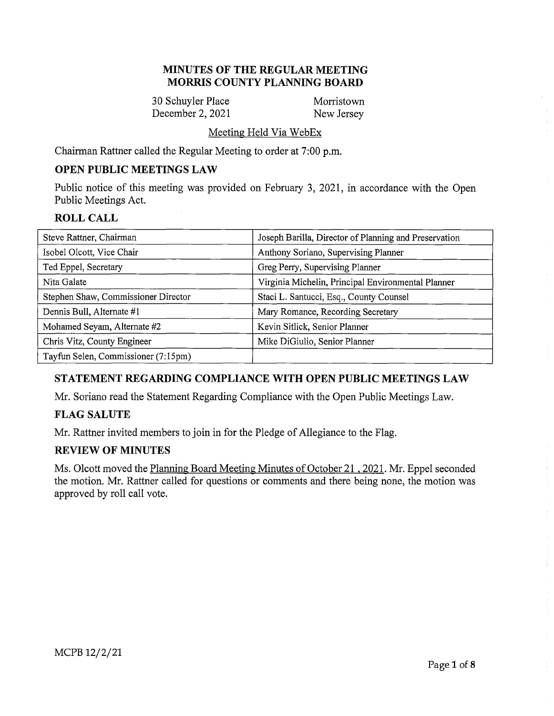### **MINUTES OF THE REGULAR MEETING MORRIS COUNTY PLANNING BOARD**

30 Schuyler Place Morristown December 2, 2021 New Jersey

### Meeting Held Via WebEx

Chairman Rattner called the Regular Meeting to order at 7:00 p.m.

# **OPEN PUBLIC MEETINGS LAW**

Public notice of this meeting was provided on February 3, 2021, in accordance with the Open Public Meetings Act.

### **ROLL CALL**

| Steve Rattner, Chairman             | Joseph Barilla, Director of Planning and Preservation |
|-------------------------------------|-------------------------------------------------------|
| Isobel Olcott, Vice Chair           | Anthony Soriano, Supervising Planner                  |
| Ted Eppel, Secretary                | Greg Perry, Supervising Planner                       |
| Nita Galate                         | Virginia Michelin, Principal Environmental Planner    |
| Stephen Shaw, Commissioner Director | Staci L. Santucci, Esq., County Counsel               |
| Dennis Bull, Alternate #1           | Mary Romance, Recording Secretary                     |
| Mohamed Seyam, Alternate #2         | Kevin Sitlick, Senior Planner                         |
| Chris Vitz, County Engineer         | Mike DiGiulio, Senior Planner                         |
| Tayfun Selen, Commissioner (7:15pm) |                                                       |

# **STATEMENT REGARDING COMPLIANCE WITH OPEN PUBLIC MEETINGS LAW**

Mr. Soriano read the Statement Regarding Compliance with the Open Public Meetings Law.

# **FLAG SALUTE**

Mr. Rattner invited members to join in for the Pledge of Allegiance to the Flag.

# **REVIEW OF MINUTES**

Ms. Olcott moved the Planning Board Meeting Minutes of October 21 , 2021. Mr. Eppel seconded the motion. Mr. Rattner called for questions or comments and there being none, the motion was approved by roll call vote.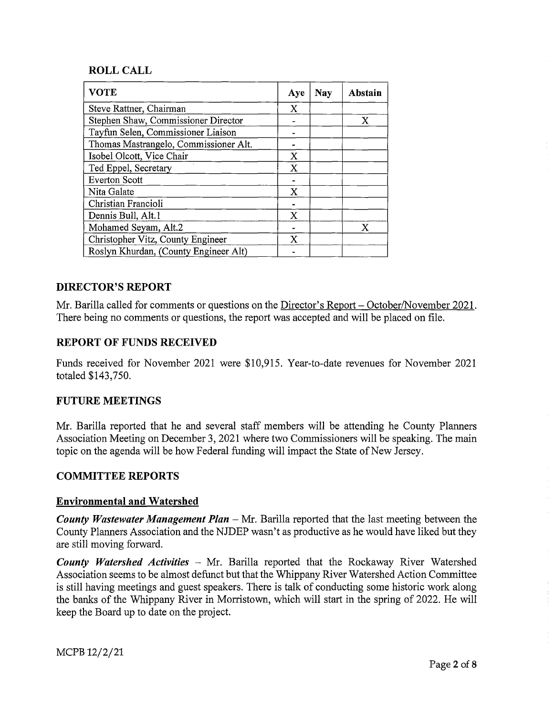# **ROLL CALL**

| <b>VOTE</b>                           | Aye | Nay | Abstain |
|---------------------------------------|-----|-----|---------|
| Steve Rattner, Chairman               | X   |     |         |
| Stephen Shaw, Commissioner Director   |     |     | X       |
| Tayfun Selen, Commissioner Liaison    |     |     |         |
| Thomas Mastrangelo, Commissioner Alt. |     |     |         |
| Isobel Olcott, Vice Chair             | X   |     |         |
| Ted Eppel, Secretary                  | X   |     |         |
| <b>Everton Scott</b>                  |     |     |         |
| Nita Galate                           | X   |     |         |
| Christian Francioli                   |     |     |         |
| Dennis Bull, Alt.1                    | x   |     |         |
| Mohamed Seyam, Alt.2                  |     |     | Х       |
| Christopher Vitz, County Engineer     | X   |     |         |
| Roslyn Khurdan, (County Engineer Alt) |     |     |         |

# **DIRECTOR'S REPORT**

Mr. Barilla called for comments or questions on the Director's Report- October/November 2021. There being no comments or questions, the report was accepted and will be placed on file.

# **REPORT OF FUNDS RECEIVED**

Funds received for November 2021 were \$10,915. Year-to-date revenues for November 2021 totaled \$143,750.

# **FUTURE MEETINGS**

Mr. Barilla reported that he and several staff members will be attending he County Planners Association Meeting on December 3, 2021 where two Commissioners will be speaking. The main topic on the agenda will be how Federal funding will impact the State of New Jersey.

# **COMMITTEE REPORTS**

### **Environmental and Watershed**

*County Wastewater Management Plan* – Mr. Barilla reported that the last meeting between the County Planners Association and the NJDEP wasn't as productive as he would have liked but they are still moving forward.

*County Watershed Activities* - Mr. Barilla reported that the Rockaway River Watershed Association seems to be almost defunct but that the Whippany River Watershed Action Committee is still having meetings and guest speakers. There is talk of conducting some historic work along the banks of the Whippany River in Morristown, which will start in the spring of 2022. He will keep the Board up to date on the project.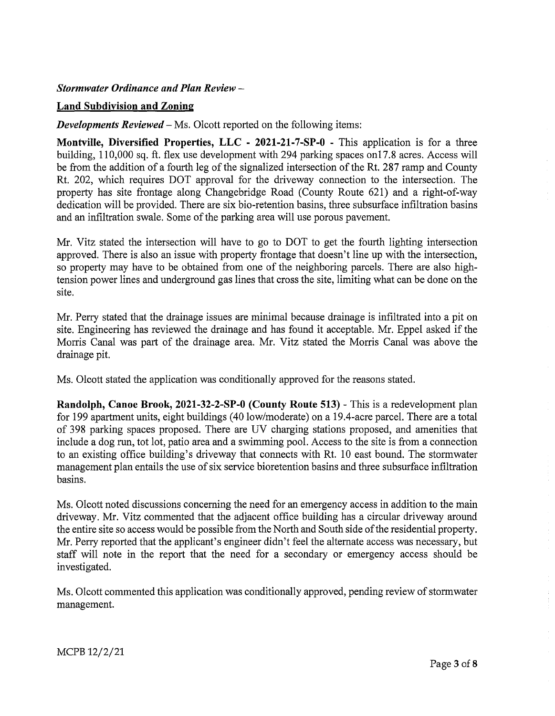### *Stormwater Ordinance and Plan Review* -

### **Land Subdivision and Zoning**

*Developments Reviewed* – Ms. Olcott reported on the following items:

**Montville, Diversified Properties, LLC - 2021-21-7-SP-0** - This application is for a three building, 110,000 sq. ft. flex use development with 294 parking spaces onl 7.8 acres. Access will be from the addition of a fourth leg of the signalized intersection of the Rt. 287 ramp and County Rt. 202, which requires DOT approval for the driveway connection to the intersection. The property has site frontage along Changebridge Road (County Route 621) and a right-of-way dedication will be provided. There are six bio-retention basins, three subsurface infiltration basins and an infiltration swale. Some of the parking area will use porous pavement.

Mr. Vitz stated the intersection will have to go to DOT to get the fourth lighting intersection approved. There is also an issue with property frontage that doesn't line up with the intersection, so property may have to be obtained from one of the neighboring parcels. There are also hightension power lines and underground gas lines that cross the site, limiting what can be done on the site.

Mr. Perry stated that the drainage issues are minimal because drainage is infiltrated into a pit on site. Engineering has reviewed the drainage and has found it acceptable. Mr. Eppel asked if the Morris Canal was part of the drainage area. Mr. Vitz stated the Morris Canal was above the drainage pit.

Ms. Olcott stated the application was conditionally approved for the reasons stated.

**Randolph, Canoe Brook, 2021-32-2-SP-0 (County Route 513)** - This is a redevelopment plan for 199 apartment units, eight buildings ( 40 low/moderate) on a 19.4-acre parcel. There are a total of 398 parking spaces proposed. There are UV charging stations proposed, and amenities that include a dog run, tot lot, patio area and a swimming pool. Access to the site is from a connection to an existing office building's driveway that connects with Rt. 10 east bound. The stormwater management plan entails the use of six service bioretention basins and three subsurface infiltration basins.

Ms. Olcott noted discussions concerning the need for an emergency access in addition to the main driveway. Mr. Vitz commented that the adjacent office building has a circular driveway around the entire site so access would be possible from the North and South side of the residential property. Mr. Perry reported that the applicant's engineer didn't feel the alternate access was necessary, but staff will note in the report that the need for a secondary or emergency access should be investigated.

Ms. Olcott commented this application was conditionally approved, pending review of stormwater management.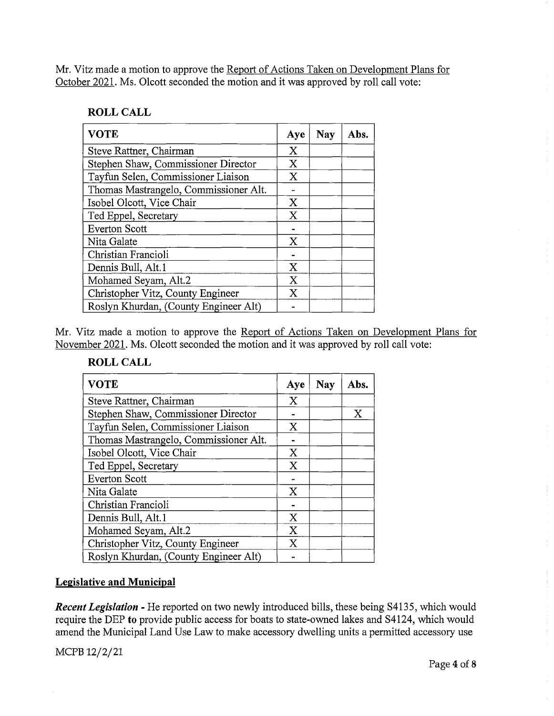Mr. Vitz made a motion to approve the Report of Actions Taken on Development Plans for October 2021. Ms. Olcott seconded the motion and it was approved by roll call vote:

### **ROLL CALL**

| <b>VOTE</b>                           |              | <b>Nay</b> | Abs. |
|---------------------------------------|--------------|------------|------|
| Steve Rattner, Chairman               | X            |            |      |
| Stephen Shaw, Commissioner Director   | X            |            |      |
| Tayfun Selen, Commissioner Liaison    | $\mathbf X$  |            |      |
| Thomas Mastrangelo, Commissioner Alt. |              |            |      |
| Isobel Olcott, Vice Chair             | X            |            |      |
| Ted Eppel, Secretary                  | X            |            |      |
| <b>Everton Scott</b>                  |              |            |      |
| Nita Galate                           | $\mathbf{X}$ |            |      |
| Christian Francioli                   |              |            |      |
| Dennis Bull, Alt.1                    | X            |            |      |
| Mohamed Seyam, Alt.2                  | X            |            |      |
| Christopher Vitz, County Engineer     | X            |            |      |
| Roslyn Khurdan, (County Engineer Alt) |              |            |      |

Mr. Vitz made a motion to approve the Report of Actions Taken on Development Plans for November 2021. Ms. Olcott seconded the motion and it was approved by roll call vote:

### **ROLL CALL**

| <b>VOTE</b>                           | Aye         | <b>Nay</b> | Abs. |
|---------------------------------------|-------------|------------|------|
| Steve Rattner, Chairman               | X           |            |      |
| Stephen Shaw, Commissioner Director   |             |            | X    |
| Tayfun Selen, Commissioner Liaison    | X           |            |      |
| Thomas Mastrangelo, Commissioner Alt. |             |            |      |
| Isobel Olcott, Vice Chair             | X           |            |      |
| Ted Eppel, Secretary                  | X           |            |      |
| <b>Everton Scott</b>                  |             |            |      |
| Nita Galate                           | $\mathbf x$ |            |      |
| Christian Francioli                   |             |            |      |
| Dennis Bull, Alt.1                    | X           |            |      |
| Mohamed Seyam, Alt.2                  | X           |            |      |
| Christopher Vitz, County Engineer     | X           |            |      |
| Roslyn Khurdan, (County Engineer Alt) |             |            |      |

### **Legislative and Municipal**

*Recent Legislation* - He reported on two newly introduced bills, these being S4I35, which would require the DEP **to** provide public access for boats to state-owned lakes and S4124, which would amend the Municipal Land Use Law to make accessory dwelling units a permitted accessory use

MCPB 12/2/21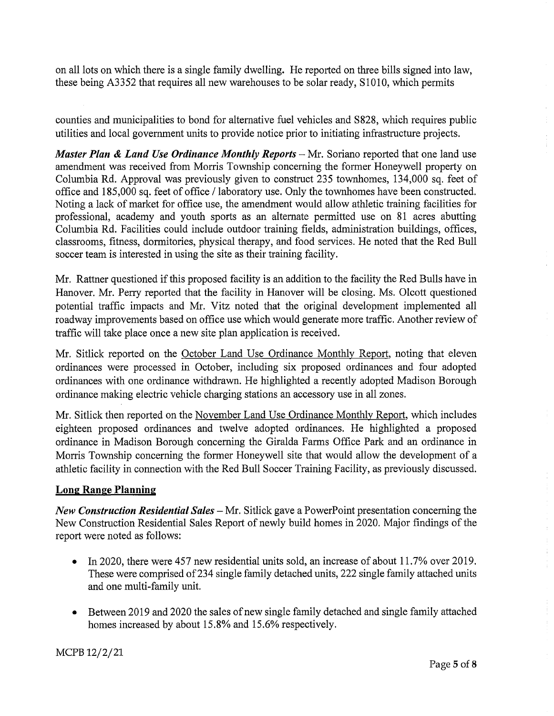on all lots on which there is a single family dwelling. He reported on three bills signed into law, these being A3352 that requires all new warehouses to be solar ready, S1010, which permits

counties and municipalities to bond for alternative fuel vehicles and S828, which requires public utilities and local government units to provide notice prior to initiating infrastructure projects.

*Master Plan & Land Use Ordinance Monthly Reports* – Mr. Soriano reported that one land use amendment was received from Morris Township concerning the former Honeywell property on Columbia Rd. Approval was previously given to construct 235 townhomes, 134,000 sq. feet of office and 185,000 sq. feet of office/ laboratory use. Only the townhomes have been constructed. Noting a lack of market for office use, the amendment would allow athletic training facilities for professional, academy and youth sports as an alternate permitted use on 81 acres abutting Columbia Rd. Facilities could include outdoor training fields, administration buildings, offices, classrooms, fitness, dormitories, physical therapy, and food services. He noted that the Red Bull soccer team is interested in using the site as their training facility.

Mr. Rattner questioned if this proposed facility is an addition to the facility the Red Bulls have in Hanover. Mr. Perry reported that the facility in Hanover will be closing. Ms. Olcott questioned potential traffic impacts and Mr. Vitz noted that the original development implemented all roadway improvements based on office use which would generate more traffic. Another review of traffic will take place once a new site plan application is received.

Mr. Sitlick reported on the October Land Use Ordinance Monthly Report, noting that eleven ordinances were processed in October, including six proposed ordinances and four adopted ordinances with one ordinance withdrawn. He highlighted a recently adopted Madison Borough ordinance making electric vehicle charging stations an accessory use in all zones.

Mr. Sitlick then reported on the November Land Use Ordinance Monthly Report, which includes eighteen proposed ordinances and twelve adopted ordinances. He highlighted a proposed ordinance in Madison Borough concerning the Giralda Farms Office Park and an ordinance in Morris Township concerning the former Honeywell site that would allow the development of a athletic facility in connection with the Red Bull Soccer Training Facility, as previously discussed.

# **Long Range Planning**

*New Construction Residential Sales* – Mr. Sitlick gave a PowerPoint presentation concerning the New Construction Residential Sales Report of newly build homes in 2020. Major findings of the report were noted as follows:

- In 2020, there were 457 new residential units sold, an increase of about 11.7% over 2019. These were comprised of 234 single family detached units, 222 single family attached units and one multi-family unit.
- Between 2019 and 2020 the sales of new single family detached and single family attached homes increased by about 15.8% and 15.6% respectively.

MCPB 12/2/21

 $\bar{1}$  $\frac{1}{2}$  $\frac{1}{4}$  $\frac{1}{4}$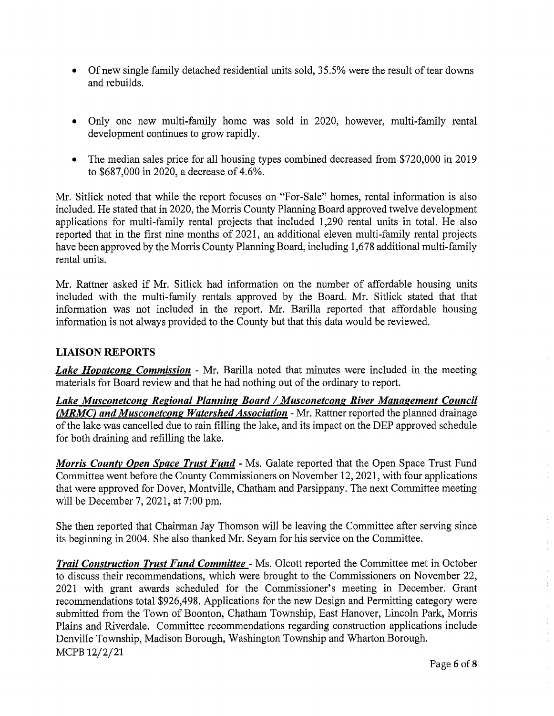- Of new single family detached residential units sold, 35.5% were the result of tear downs and rebuilds.
- Only one new multi-family home was sold in 2020, however, multi-family rental development continues to grow rapidly.
- The median sales price for all housing types combined decreased from \$720,000 in 2019 to \$687,000 in 2020, a decrease of 4.6%.

Mr. Sitlick noted that while the report focuses on "For-Sale" homes, rental information is also included. He stated that in 2020, the Morris County Planning Board approved twelve development applications for multi-family rental projects that included 1,290 rental units in total. He also reported that in the first nine months of 2021, an additional eleven multi-family rental projects have been approved by the Morris County Planning Board, including 1,678 additional multi-family rental units.

Mr. Rattner asked if Mr. Sitlick had information on the number of affordable housing units included with the multi-family rentals approved by the Board. Mr. Sitlick stated that that information was not included in the report. Mr. Barilla reported that affordable housing information is not always provided to the County but that this data would be reviewed.

# **LIAISON REPORTS**

*Lake Hopatcong Commission* - Mr. Barilla noted that minutes were included in the meeting materials for Board review and that he had nothing out of the ordinary to report.

*Lake Musconetcong Regional Planning Board I Musconetcong River Management Council (MRMC) and Musconetcong Watershed Association* - Mr. Rattner reported the planned drainage ofthe lake was cancelled due to rain filling the lake, and its impact on the DEP approved schedule for both draining and refilling the lake.

*Morris County Open Space Trust Fund* - Ms. Galate reported that the Open Space Trust Fund Committee went before the County Commissioners on November 12, 2021, with four applications that were approved for Dover, Montville, Chatham and Parsippany. The next Committee meeting will be December 7, 2021, at 7:00 pm.

She then reported that Chairman Jay Thomson will be leaving the Committee after serving since its beginning in 2004. She also thanked Mr. Seyam for his service on the Committee.

*Trail Construction Trust Fund Committee* - Ms. Olcott reported the Committee met in October to discuss their recommendations, which were brought to the Commissioners on November 22, 2021 with grant awards scheduled for the Commissioner's meeting in December. Grant recommendations total \$926,498. Applications for the new Design and Permitting category were submitted from the Town of Boonton, Chatham Township, East Hanover, Lincoln Park, Morris Plains and Riverdale. Committee recommendations regarding construction applications include Denville Township, Madison Borough, Washington Township and Wharton Borough. MCPB 12/2/21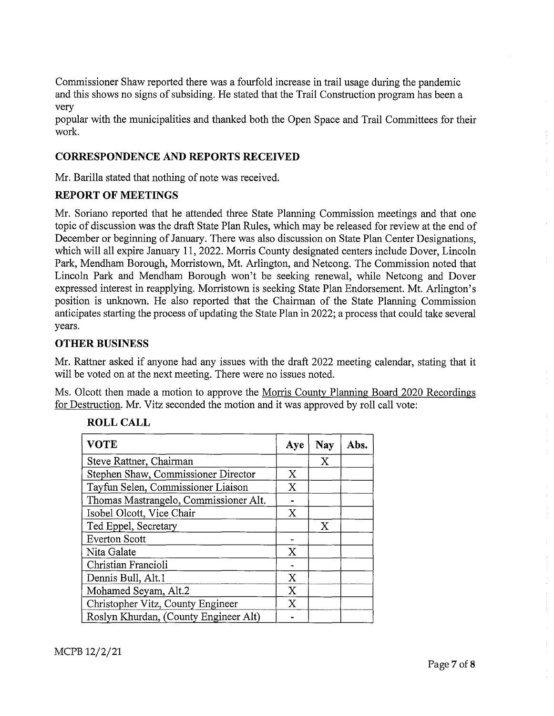Commissioner Shaw reported there was a fourfold increase in trail usage during the pandemic and this shows no signs of subsiding. He stated that the Trail Construction program has been a very

popular with the municipalities and thanked both the Open Space and Trail Committees for their work.

### **CORRESPONDENCE AND REPORTS RECEIVED**

Mr. Barilla stated that nothing of note was received.

### **REPORT OF MEETINGS**

Mr. Soriano reported that he attended three State Planning Commission meetings and that one topic of discussion was the draft State Plan Rules, which may be released for review at the end of December or beginning of January. There was also discussion on State Plan Center Designations, which will all expire January 11, 2022. Morris County designated centers include Dover, Lincoln Park, Mendham Borough, Morristown, Mt. Arlington, and Netcong. The Commission noted that Lincoln Park and Mendham Borough won't be seeking renewal, while Netcong and Dover expressed interest in reapplying. Morristown is seeking State Plan Endorsement. Mt. Arlington's position is unknown. He also reported that the Chairman of the State Planning Commission anticipates starting the process of updating the State Plan in 2022; a process that could take several years.

### **OTHER BUSINESS**

Mr. Rattner asked if anyone had any issues with the draft 2022 meeting calendar, stating that it will be voted on at the next meeting. There were no issues noted.

Ms. Olcott then made a motion to approve the Morris County Planning Board 2020 Recordings for Destruction. Mr. Vitz seconded the motion and it was approved by roll call vote:

| <b>VOTE</b>                           | Aye | <b>Nay</b> | Abs. |
|---------------------------------------|-----|------------|------|
| Steve Rattner, Chairman               |     | X          |      |
| Stephen Shaw, Commissioner Director   | X   |            |      |
| Tayfun Selen, Commissioner Liaison    | X   |            |      |
| Thomas Mastrangelo, Commissioner Alt. |     |            |      |
| Isobel Olcott, Vice Chair             | X   |            |      |
| Ted Eppel, Secretary                  |     | X          |      |
| <b>Everton Scott</b>                  |     |            |      |
| Nita Galate                           | X   |            |      |
| Christian Francioli                   |     |            |      |
| Dennis Bull, Alt.1                    | X   |            |      |
| Mohamed Seyam, Alt.2                  | X   |            |      |
| Christopher Vitz, County Engineer     | X   |            |      |
| Roslyn Khurdan, (County Engineer Alt) |     |            |      |

# **ROLL CALL**